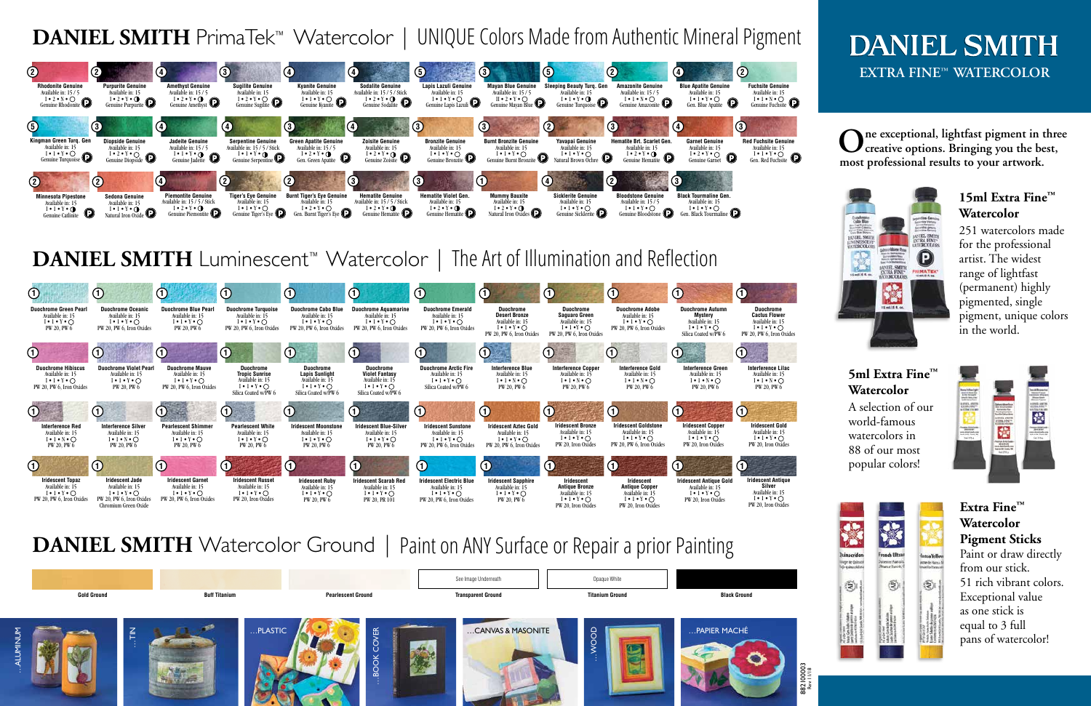# **DANIEL SMITH EXTRA FINE™ WATERCOLOR**



# **DANIEL SMITH** Watercolor Ground | Paint on ANY Surface or Repair a prior Painting

#### **5ml Extra Fine™ Watercolor**

A selection of our world-famous watercolors in 88 of our most popular colors!





rage de Quinace





**French Ultra Voemer Francois**<br>Rhamar Bancès, O





iansa Yello **Altre de Hanca** 



#### **15ml Extra Fine™ Watercolor**

251 watercolors made for the professional artist. The widest range of lightfast (permanent) highly pigmented, single pigment, unique colors in the world.

**Extra Fine™ Watercolor Pigment Sticks** Paint or draw directly from our stick. 51 rich vibrant colors. Exceptional value as one stick is equal to 3 full pans of watercolor!

**One exceptional, lightfast pigment in three creative options. Bringing you the best, most professional results to your artwork.**





## **DANIEL SMITH** PrimaTek™ Watercolor | UNIQUE Colors Made from Authentic Mineral Pigment



### **DANIEL SMITH** Luminescent<sup>™</sup> Watercolor | The Art of Illumination and Reflection